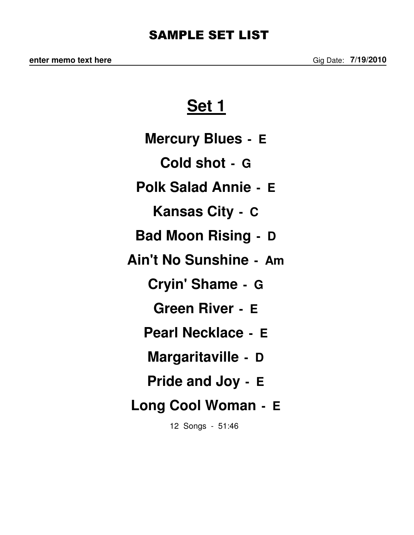# **Set 1**

- **Mercury Blues E**
	- **Cold shot G**
- **Polk Salad Annie E**
	- **Kansas City C**
- **Bad Moon Rising D**
- **Ain't No Sunshine Am**
	- **Cryin' Shame G**
		- **Green River E**
	- **Pearl Necklace E**
	- **Margaritaville D**
	- **Pride and Joy E**
- **Long Cool Woman E**
	- 12 Songs 51:46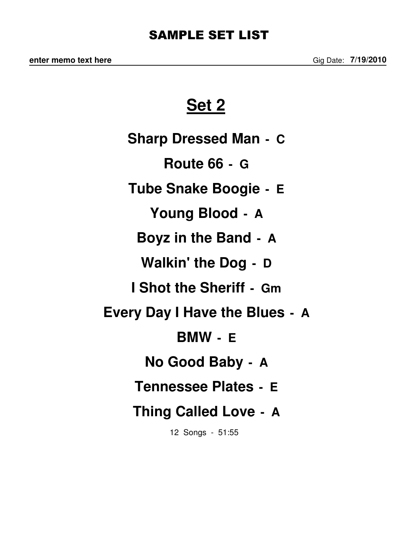#### SAMPLE SET LIST

**Set 2**

**Sharp Dressed Man - C Route 66 - G Tube Snake Boogie - E Young Blood - A Boyz in the Band - A Walkin' the Dog - D I Shot the Sheriff - Gm Every Day I Have the Blues - A BMW - E No Good Baby - A Tennessee Plates - E Thing Called Love - A**

12 Songs - 51:55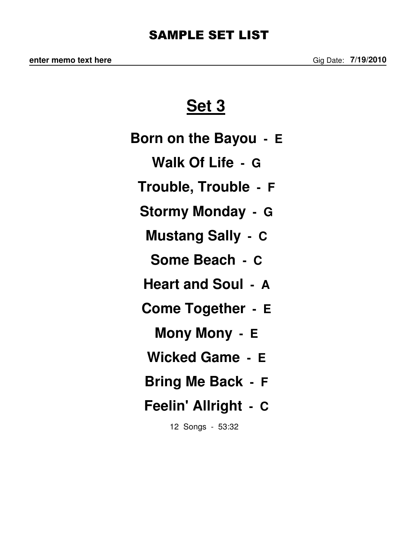#### SAMPLE SET LIST

## **Set 3**

**Born on the Bayou - E Walk Of Life - G Trouble, Trouble - F Stormy Monday - G Mustang Sally - C Some Beach - C Heart and Soul - A Come Together - E Mony Mony - E**

**Wicked Game - E**

**Bring Me Back - F**

## **Feelin' Allright - C**

12 Songs - 53:32